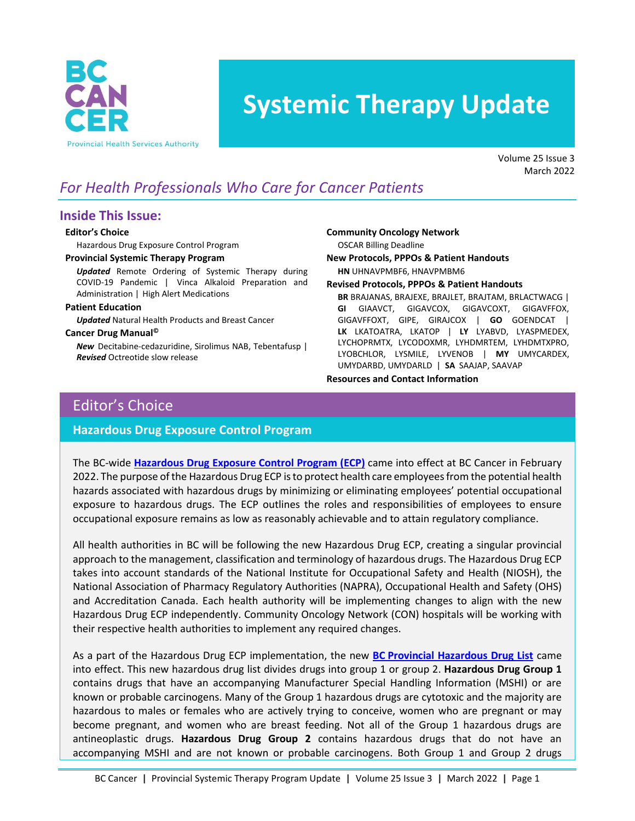

# **Systemic Therapy Update**

Volume 25 Issue 3 March 2022

# *For Health Professionals Who Care for Cancer Patients*

### **Inside This Issue:**

#### **Editor's Choice**

Hazardous Drug Exposure Control Program

#### **Provincial Systemic Therapy Program**

*Updated* Remote Ordering of Systemic Therapy during COVID-19 Pandemic | Vinca Alkaloid Preparation and Administration | High Alert Medications

#### **Patient Education**

*Updated* Natural Health Products and Breast Cancer

#### **Cancer Drug Manual©**

*New* Decitabine-cedazuridine, Sirolimus NAB, Tebentafusp | *Revised* Octreotide slow release

**Community Oncology Network**

OSCAR Billing Deadline

**New Protocols, PPPOs & Patient Handouts**

**HN** UHNAVPMBF6, HNAVPMBM6

#### **Revised Protocols, PPPOs & Patient Handouts**

**BR** BRAJANAS, BRAJEXE, BRAJLET, BRAJTAM, BRLACTWACG | **GI** GIAAVCT, GIGAVCOX, GIGAVCOXT, GIGAVFFOX, GIGAVFFOXT, GIPE, GIRAJCOX | **GO** GOENDCAT | **LK** LKATOATRA, LKATOP | **LY** LYABVD, LYASPMEDEX, LYCHOPRMTX, LYCODOXMR, LYHDMRTEM, LYHDMTXPRO, LYOBCHLOR, LYSMILE, LYVENOB | **MY** UMYCARDEX, UMYDARBD, UMYDARLD | **SA** SAAJAP, SAAVAP

**Resources and Contact Information**

### Editor's Choice

### **Hazardous Drug Exposure Control Program**

The BC-wide **Hazardous Drug [Exposure Control Program](https://your.healthbc.org/sites/hazardousdrugsafety/SiteAssets/SitePages/Home/BC%20Hazardous%20Drugs%20Exposure%20Control%20Program.pdf) (ECP)** came into effect at BC Cancer in February 2022. The purpose of the Hazardous Drug ECP is to protect health care employees from the potential health hazards associated with hazardous drugs by minimizing or eliminating employees' potential occupational exposure to hazardous drugs. The ECP outlines the roles and responsibilities of employees to ensure occupational exposure remains as low as reasonably achievable and to attain regulatory compliance.

All health authorities in BC will be following the new Hazardous Drug ECP, creating a singular provincial approach to the management, classification and terminology of hazardous drugs. The Hazardous Drug ECP takes into account standards of the National Institute for Occupational Safety and Health (NIOSH), the National Association of Pharmacy Regulatory Authorities (NAPRA), Occupational Health and Safety (OHS) and Accreditation Canada. Each health authority will be implementing changes to align with the new Hazardous Drug ECP independently. Community Oncology Network (CON) hospitals will be working with their respective health authorities to implement any required changes.

As a part of the Hazardous Drug ECP implementation, the new **BC [Provincial Hazardous Drug List](https://your.healthbc.org/sites/hazardousdrugsafety/SiteAssets/SitePages/Home/BC%20Hazardous%20Drugs%20List.pdf)** came into effect. This new hazardous drug list divides drugs into group 1 or group 2. **Hazardous Drug Group 1** contains drugs that have an accompanying Manufacturer Special Handling Information (MSHI) or are known or probable carcinogens. Many of the Group 1 hazardous drugs are cytotoxic and the majority are hazardous to males or females who are actively trying to conceive, women who are pregnant or may become pregnant, and women who are breast feeding. Not all of the Group 1 hazardous drugs are antineoplastic drugs. **Hazardous Drug Group 2** contains hazardous drugs that do not have an accompanying MSHI and are not known or probable carcinogens. Both Group 1 and Group 2 drugs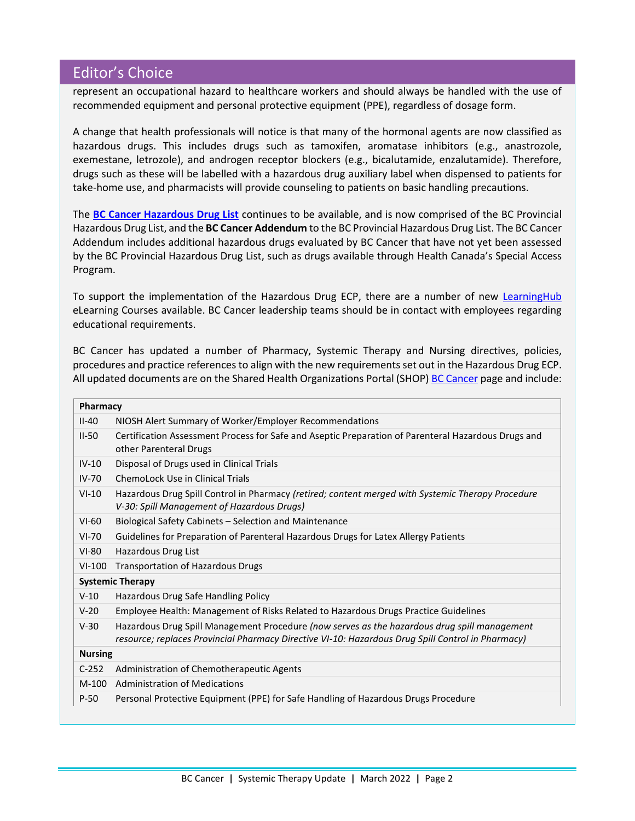### Editor's Choice

represent an occupational hazard to healthcare workers and should always be handled with the use of recommended equipment and personal protective equipment (PPE), regardless of dosage form.

A change that health professionals will notice is that many of the hormonal agents are now classified as hazardous drugs. This includes drugs such as tamoxifen, aromatase inhibitors (e.g., anastrozole, exemestane, letrozole), and androgen receptor blockers (e.g., bicalutamide, enzalutamide). Therefore, drugs such as these will be labelled with a hazardous drug auxiliary label when dispensed to patients for take-home use, and pharmacists will provide counseling to patients on basic handling precautions.

The **[BC Cancer Hazardous Drug List](http://www.bccancer.bc.ca/health-professionals/clinical-resources/cancer-drug-manual)** continues to be available, and is now comprised of the BC Provincial Hazardous Drug List, and the **BC Cancer Addendum** to the BC Provincial Hazardous Drug List. The BC Cancer Addendum includes additional hazardous drugs evaluated by BC Cancer that have not yet been assessed by the BC Provincial Hazardous Drug List, such as drugs available through Health Canada's Special Access Program.

To support the implementation of the Hazardous Drug ECP, there are a number of new [LearningHub](https://learninghub.phsa.ca/Learner/MyCourse) eLearning Courses available. BC Cancer leadership teams should be in contact with employees regarding educational requirements.

BC Cancer has updated a number of Pharmacy, Systemic Therapy and Nursing directives, policies, procedures and practice referencesto align with the new requirementsset out in the Hazardous Drug ECP. All updated documents are on the Shared Health Organizations Portal (SHOP) [BC Cancer](http://shop.healthcarebc.ca/phsa/bc-cancer) page and include:

| Pharmacy       |                                                                                                                                                                                                   |
|----------------|---------------------------------------------------------------------------------------------------------------------------------------------------------------------------------------------------|
| $II-40$        | NIOSH Alert Summary of Worker/Employer Recommendations                                                                                                                                            |
| $II-50$        | Certification Assessment Process for Safe and Aseptic Preparation of Parenteral Hazardous Drugs and<br>other Parenteral Drugs                                                                     |
| $IV-10$        | Disposal of Drugs used in Clinical Trials                                                                                                                                                         |
| $IV-70$        | ChemoLock Use in Clinical Trials                                                                                                                                                                  |
| $VI-10$        | Hazardous Drug Spill Control in Pharmacy (retired; content merged with Systemic Therapy Procedure<br>V-30: Spill Management of Hazardous Drugs)                                                   |
| $VI-60$        | Biological Safety Cabinets - Selection and Maintenance                                                                                                                                            |
| $VI-70$        | Guidelines for Preparation of Parenteral Hazardous Drugs for Latex Allergy Patients                                                                                                               |
| $VI-80$        | Hazardous Drug List                                                                                                                                                                               |
| $VI-100$       | <b>Transportation of Hazardous Drugs</b>                                                                                                                                                          |
|                | <b>Systemic Therapy</b>                                                                                                                                                                           |
| $V-10$         | Hazardous Drug Safe Handling Policy                                                                                                                                                               |
| $V-20$         | Employee Health: Management of Risks Related to Hazardous Drugs Practice Guidelines                                                                                                               |
| $V-30$         | Hazardous Drug Spill Management Procedure (now serves as the hazardous drug spill management<br>resource; replaces Provincial Pharmacy Directive VI-10: Hazardous Drug Spill Control in Pharmacy) |
| <b>Nursing</b> |                                                                                                                                                                                                   |
| $C-252$        | Administration of Chemotherapeutic Agents                                                                                                                                                         |
| $M-100$        | <b>Administration of Medications</b>                                                                                                                                                              |
| $P-50$         | Personal Protective Equipment (PPE) for Safe Handling of Hazardous Drugs Procedure                                                                                                                |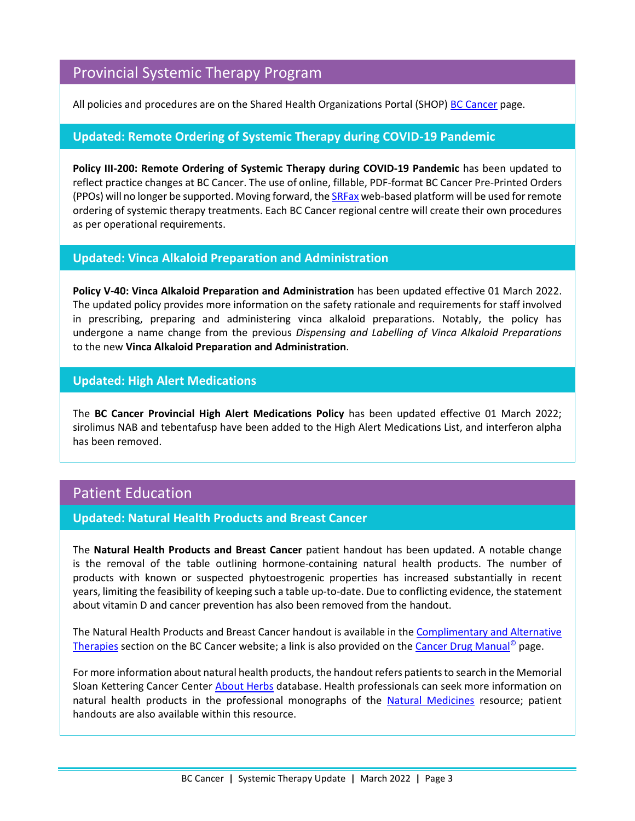### Provincial Systemic Therapy Program

All policies and procedures are on the Shared Health Organizations Portal (SHOP) [BC Cancer](http://shop.healthcarebc.ca/phsa/bc-cancer) page.

### **Updated: Remote Ordering of Systemic Therapy during COVID-19 Pandemic**

**Policy III-200: Remote Ordering of Systemic Therapy during COVID-19 Pandemic** has been updated to reflect practice changes at BC Cancer. The use of online, fillable, PDF-format BC Cancer Pre-Printed Orders (PPOs) will no longer be supported. Moving forward, th[e SRFax](http://www.phsa.ca/health-professionals/professional-resources/office-of-virtual-health/covid-19-virtual-health-toolkit/emailtofax) web-based platform will be used for remote ordering of systemic therapy treatments. Each BC Cancer regional centre will create their own procedures as per operational requirements.

### **Updated: Vinca Alkaloid Preparation and Administration**

**Policy V-40: Vinca Alkaloid Preparation and Administration** has been updated effective 01 March 2022. The updated policy provides more information on the safety rationale and requirements for staff involved in prescribing, preparing and administering vinca alkaloid preparations. Notably, the policy has undergone a name change from the previous *Dispensing and Labelling of Vinca Alkaloid Preparations* to the new **Vinca Alkaloid Preparation and Administration**.

### **Updated: High Alert Medications**

The **BC Cancer Provincial High Alert Medications Policy** has been updated effective 01 March 2022; sirolimus NAB and tebentafusp have been added to the High Alert Medications List, and interferon alpha has been removed.

### Patient Education

### **Updated: Natural Health Products and Breast Cancer**

The **Natural Health Products and Breast Cancer** patient handout has been updated. A notable change is the removal of the table outlining hormone-containing natural health products. The number of products with known or suspected phytoestrogenic properties has increased substantially in recent years, limiting the feasibility of keeping such a table up-to-date. Due to conflicting evidence, the statement about vitamin D and cancer prevention has also been removed from the handout.

The Natural Health Products and Breast Cancer handout is available in th[e Complimentary and Alternative](http://www.bccancer.bc.ca/health-info/coping-with-cancer/complementary-alternative-therapies)  [Therapies](http://www.bccancer.bc.ca/health-info/coping-with-cancer/complementary-alternative-therapies) section on the BC Cancer website; a link is also provided on the [Cancer Drug Manual](http://www.bccancer.bc.ca/health-professionals/clinical-resources/cancer-drug-manual)© page.

For more information about natural health products, the handout refers patients to search in the Memorial Sloan Kettering Cancer Center [About Herbs](https://www.mskcc.org/cancer-care/diagnosis-treatment/symptom-management/integrative-medicine/herbs/search) database. Health professionals can seek more information on natural health products in the professional monographs of the [Natural Medicines](https://naturalmedicines.therapeuticresearch.com/) resource; patient handouts are also available within this resource.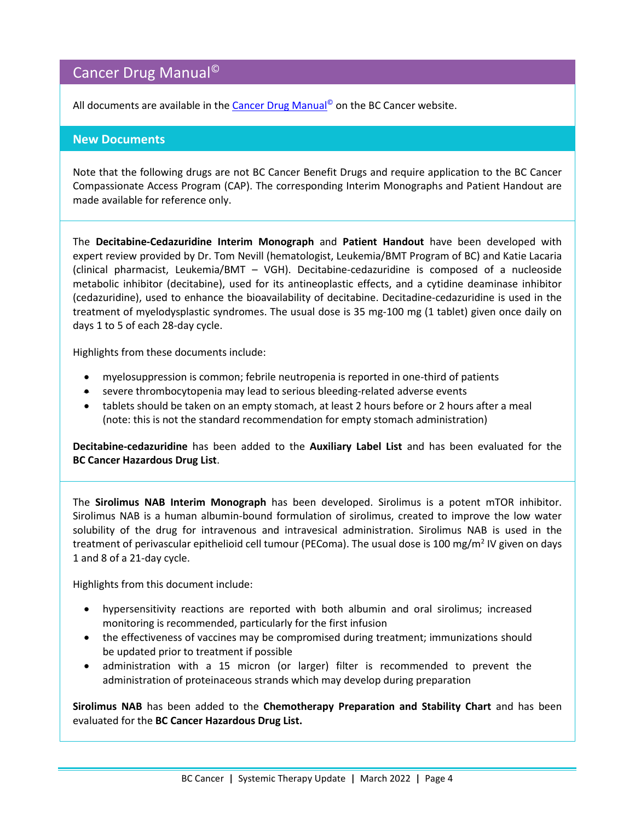# Cancer Drug Manual©

All documents are available in the [Cancer Drug Manual](http://www.bccancer.bc.ca/health-professionals/clinical-resources/cancer-drug-manual)<sup>®</sup> on the BC Cancer website.

### **New Documents**

Note that the following drugs are not BC Cancer Benefit Drugs and require application to the BC Cancer Compassionate Access Program (CAP). The corresponding Interim Monographs and Patient Handout are made available for reference only.

The **Decitabine-Cedazuridine Interim Monograph** and **Patient Handout** have been developed with expert review provided by Dr. Tom Nevill (hematologist, Leukemia/BMT Program of BC) and Katie Lacaria (clinical pharmacist, Leukemia/BMT – VGH). Decitabine-cedazuridine is composed of a nucleoside metabolic inhibitor (decitabine), used for its antineoplastic effects, and a cytidine deaminase inhibitor (cedazuridine), used to enhance the bioavailability of decitabine. Decitadine-cedazuridine is used in the treatment of myelodysplastic syndromes. The usual dose is 35 mg-100 mg (1 tablet) given once daily on days 1 to 5 of each 28-day cycle.

Highlights from these documents include:

- myelosuppression is common; febrile neutropenia is reported in one-third of patients
- severe thrombocytopenia may lead to serious bleeding-related adverse events
- tablets should be taken on an empty stomach, at least 2 hours before or 2 hours after a meal (note: this is not the standard recommendation for empty stomach administration)

**Decitabine-cedazuridine** has been added to the **Auxiliary Label List** and has been evaluated for the **BC Cancer Hazardous Drug List**.

The **Sirolimus NAB Interim Monograph** has been developed. Sirolimus is a potent mTOR inhibitor. Sirolimus NAB is a human albumin-bound formulation of sirolimus, created to improve the low water solubility of the drug for intravenous and intravesical administration. Sirolimus NAB is used in the treatment of perivascular epithelioid cell tumour (PEComa). The usual dose is 100 mg/m<sup>2</sup> IV given on days 1 and 8 of a 21-day cycle.

Highlights from this document include:

- hypersensitivity reactions are reported with both albumin and oral sirolimus; increased monitoring is recommended, particularly for the first infusion
- the effectiveness of vaccines may be compromised during treatment; immunizations should be updated prior to treatment if possible
- administration with a 15 micron (or larger) filter is recommended to prevent the administration of proteinaceous strands which may develop during preparation

**Sirolimus NAB** has been added to the **Chemotherapy Preparation and Stability Chart** and has been evaluated for the **BC Cancer Hazardous Drug List.**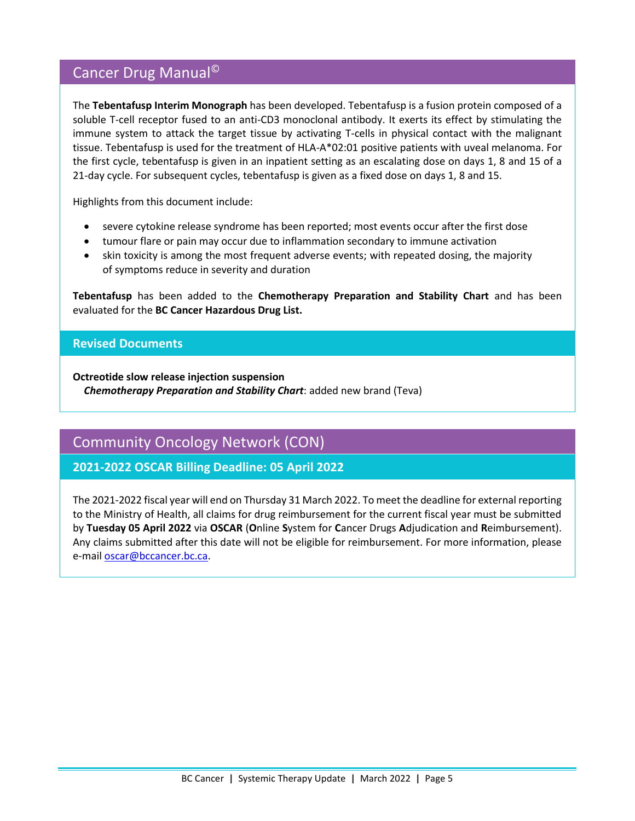# Cancer Drug Manual©

The **Tebentafusp Interim Monograph** has been developed. Tebentafusp is a fusion protein composed of a soluble T-cell receptor fused to an anti-CD3 monoclonal antibody. It exerts its effect by stimulating the immune system to attack the target tissue by activating T-cells in physical contact with the malignant tissue. Tebentafusp is used for the treatment of HLA-A\*02:01 positive patients with uveal melanoma. For the first cycle, tebentafusp is given in an inpatient setting as an escalating dose on days 1, 8 and 15 of a 21-day cycle. For subsequent cycles, tebentafusp is given as a fixed dose on days 1, 8 and 15.

Highlights from this document include:

- severe cytokine release syndrome has been reported; most events occur after the first dose
- tumour flare or pain may occur due to inflammation secondary to immune activation
- skin toxicity is among the most frequent adverse events; with repeated dosing, the majority of symptoms reduce in severity and duration

**Tebentafusp** has been added to the **Chemotherapy Preparation and Stability Chart** and has been evaluated for the **BC Cancer Hazardous Drug List.** 

### **Revised Documents**

**Octreotide slow release injection suspension** *Chemotherapy Preparation and Stability Chart*: added new brand (Teva)

### Community Oncology Network (CON)

### **2021-2022 OSCAR Billing Deadline: 05 April 2022**

The 2021-2022 fiscal year will end on Thursday 31 March 2022. To meet the deadline for external reporting to the Ministry of Health, all claims for drug reimbursement for the current fiscal year must be submitted by **Tuesday 05 April 2022** via **OSCAR** (**O**nline **S**ystem for **C**ancer Drugs **A**djudication and **R**eimbursement). Any claims submitted after this date will not be eligible for reimbursement. For more information, please e-mai[l oscar@bccancer.bc.ca.](mailto:oscar@bccancer.bc.ca)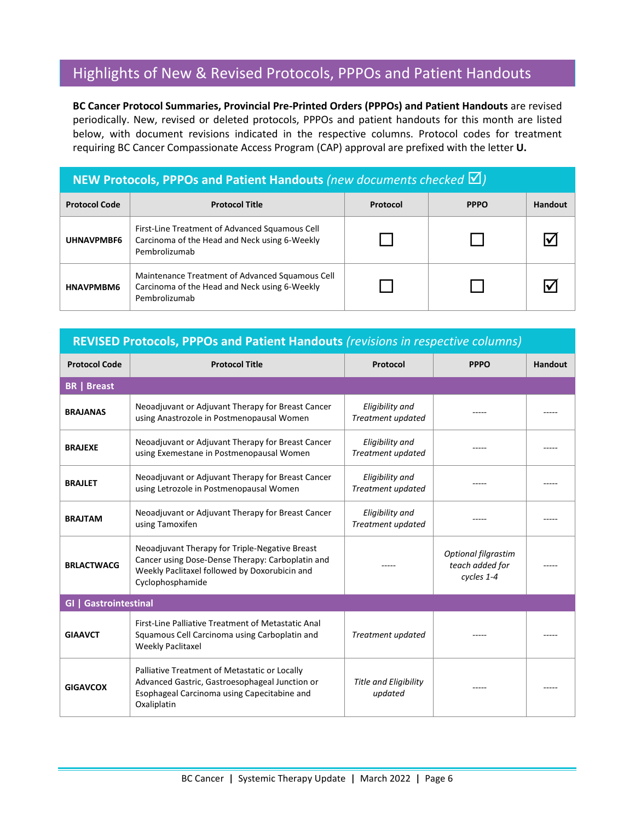### Highlights of New & Revised Protocols, PPPOs and Patient Handouts

**BC Cancer Protocol Summaries, Provincial Pre-Printed Orders (PPPOs) and Patient Handouts** are revised periodically. New, revised or deleted protocols, PPPOs and patient handouts for this month are listed below, with document revisions indicated in the respective columns. Protocol codes for treatment requiring BC Cancer Compassionate Access Program (CAP) approval are prefixed with the letter **U.**

#### **NEW Protocols, PPPOs and Patient Handouts** (new documents checked  $\boxtimes$ ) **Protocol Code Protocol Title Protocol PPPO Handout UHNAVPMBF6** First-Line Treatment of Advanced Squamous Cell Carcinoma of the Head and Neck using 6-Weekly Pembrolizumab  $\begin{array}{c|c|c|c|c|c} \Box & \Box & \Box & \Box \end{array}$ **HNAVPMBM6** Maintenance Treatment of Advanced Squamous Cell Carcinoma of the Head and Neck using 6-Weekly Pembrolizumab  $\begin{array}{c|c|c|c|c|c} \Box & \Box & \Box & \Box \end{array}$

### **REVISED Protocols, PPPOs and Patient Handouts** *(revisions in respective columns)*

| <b>Protocol Code</b>         | <b>Protocol Title</b>                                                                                                                                                   | Protocol                                | <b>PPPO</b>                                          | <b>Handout</b> |  |
|------------------------------|-------------------------------------------------------------------------------------------------------------------------------------------------------------------------|-----------------------------------------|------------------------------------------------------|----------------|--|
| <b>BR</b>   Breast           |                                                                                                                                                                         |                                         |                                                      |                |  |
| <b>BRAJANAS</b>              | Neoadjuvant or Adjuvant Therapy for Breast Cancer<br>using Anastrozole in Postmenopausal Women                                                                          | Eligibility and<br>Treatment updated    |                                                      |                |  |
| <b>BRAJEXE</b>               | Neoadjuvant or Adjuvant Therapy for Breast Cancer<br>using Exemestane in Postmenopausal Women                                                                           |                                         |                                                      |                |  |
| <b>BRAJLET</b>               | Neoadjuvant or Adjuvant Therapy for Breast Cancer<br>using Letrozole in Postmenopausal Women                                                                            | Eligibility and<br>Treatment updated    |                                                      |                |  |
| <b>BRAJTAM</b>               | Neoadjuvant or Adjuvant Therapy for Breast Cancer<br>using Tamoxifen                                                                                                    | Eligibility and<br>Treatment updated    |                                                      |                |  |
| <b>BRLACTWACG</b>            | Neoadjuvant Therapy for Triple-Negative Breast<br>Cancer using Dose-Dense Therapy: Carboplatin and<br>Weekly Paclitaxel followed by Doxorubicin and<br>Cyclophosphamide |                                         | Optional filgrastim<br>teach added for<br>cycles 1-4 |                |  |
| <b>GI   Gastrointestinal</b> |                                                                                                                                                                         |                                         |                                                      |                |  |
| <b>GIAAVCT</b>               | First-Line Palliative Treatment of Metastatic Anal<br>Squamous Cell Carcinoma using Carboplatin and<br><b>Weekly Paclitaxel</b>                                         | Treatment updated                       |                                                      |                |  |
| <b>GIGAVCOX</b>              | Palliative Treatment of Metastatic or Locally<br>Advanced Gastric, Gastroesophageal Junction or<br>Esophageal Carcinoma using Capecitabine and<br>Oxaliplatin           | <b>Title and Eligibility</b><br>updated |                                                      |                |  |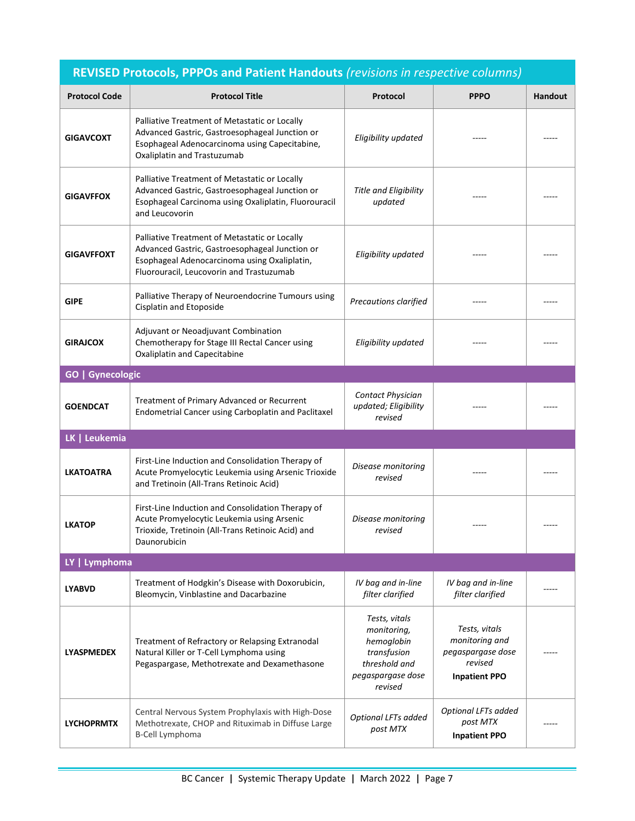| REVISED Protocols, PPPOs and Patient Handouts (revisions in respective columns) |                                                                                                                                                                                             |                                                                                                            |                                                                                         |         |  |
|---------------------------------------------------------------------------------|---------------------------------------------------------------------------------------------------------------------------------------------------------------------------------------------|------------------------------------------------------------------------------------------------------------|-----------------------------------------------------------------------------------------|---------|--|
| <b>Protocol Code</b>                                                            | <b>Protocol Title</b>                                                                                                                                                                       | Protocol                                                                                                   | <b>PPPO</b>                                                                             | Handout |  |
| <b>GIGAVCOXT</b>                                                                | Palliative Treatment of Metastatic or Locally<br>Advanced Gastric, Gastroesophageal Junction or<br>Esophageal Adenocarcinoma using Capecitabine,<br>Oxaliplatin and Trastuzumab             | Eligibility updated                                                                                        |                                                                                         |         |  |
| <b>GIGAVFFOX</b>                                                                | Palliative Treatment of Metastatic or Locally<br>Advanced Gastric, Gastroesophageal Junction or<br>Esophageal Carcinoma using Oxaliplatin, Fluorouracil<br>and Leucovorin                   | <b>Title and Eligibility</b><br>updated                                                                    |                                                                                         |         |  |
| <b>GIGAVFFOXT</b>                                                               | Palliative Treatment of Metastatic or Locally<br>Advanced Gastric, Gastroesophageal Junction or<br>Esophageal Adenocarcinoma using Oxaliplatin,<br>Fluorouracil, Leucovorin and Trastuzumab | Eligibility updated                                                                                        |                                                                                         |         |  |
| <b>GIPE</b>                                                                     | Palliative Therapy of Neuroendocrine Tumours using<br>Cisplatin and Etoposide                                                                                                               | Precautions clarified                                                                                      |                                                                                         |         |  |
| <b>GIRAJCOX</b>                                                                 | Adjuvant or Neoadjuvant Combination<br>Chemotherapy for Stage III Rectal Cancer using<br>Oxaliplatin and Capecitabine                                                                       | Eligibility updated                                                                                        |                                                                                         |         |  |
| <b>GO   Gynecologic</b>                                                         |                                                                                                                                                                                             |                                                                                                            |                                                                                         |         |  |
| <b>GOENDCAT</b>                                                                 | Treatment of Primary Advanced or Recurrent<br>Endometrial Cancer using Carboplatin and Paclitaxel                                                                                           | Contact Physician<br>updated; Eligibility<br>revised                                                       |                                                                                         |         |  |
| LK   Leukemia                                                                   |                                                                                                                                                                                             |                                                                                                            |                                                                                         |         |  |
| <b>LKATOATRA</b>                                                                | First-Line Induction and Consolidation Therapy of<br>Acute Promyelocytic Leukemia using Arsenic Trioxide<br>and Tretinoin (All-Trans Retinoic Acid)                                         | Disease monitoring<br>revised                                                                              |                                                                                         |         |  |
| <b>LKATOP</b>                                                                   | First-Line Induction and Consolidation Therapy of<br>Acute Promyelocytic Leukemia using Arsenic<br>Trioxide, Tretinoin (All-Trans Retinoic Acid) and<br>Daunorubicin                        | Disease monitoring<br>revised                                                                              |                                                                                         |         |  |
| LY   Lymphoma                                                                   |                                                                                                                                                                                             |                                                                                                            |                                                                                         |         |  |
| <b>LYABVD</b>                                                                   | Treatment of Hodgkin's Disease with Doxorubicin,<br>Bleomycin, Vinblastine and Dacarbazine                                                                                                  | IV bag and in-line<br>filter clarified                                                                     | IV bag and in-line<br>filter clarified                                                  |         |  |
| <b>LYASPMEDEX</b>                                                               | Treatment of Refractory or Relapsing Extranodal<br>Natural Killer or T-Cell Lymphoma using<br>Pegaspargase, Methotrexate and Dexamethasone                                                  | Tests, vitals<br>monitoring,<br>hemoglobin<br>transfusion<br>threshold and<br>pegaspargase dose<br>revised | Tests, vitals<br>monitoring and<br>pegaspargase dose<br>revised<br><b>Inpatient PPO</b> |         |  |
| <b>LYCHOPRMTX</b>                                                               | Central Nervous System Prophylaxis with High-Dose<br>Methotrexate, CHOP and Rituximab in Diffuse Large<br><b>B-Cell Lymphoma</b>                                                            | Optional LFTs added<br>post MTX                                                                            | Optional LFTs added<br>post MTX<br><b>Inpatient PPO</b>                                 |         |  |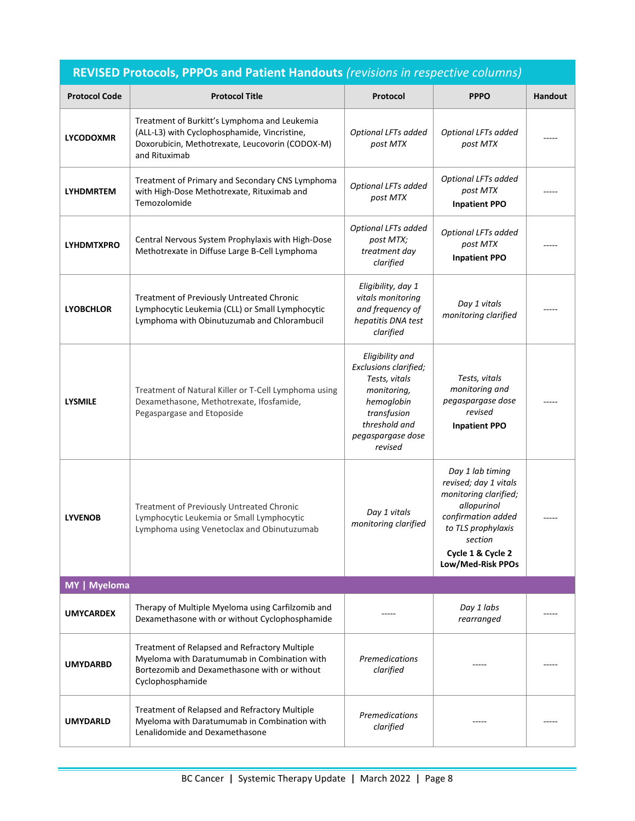| <b>REVISED Protocols, PPPOs and Patient Handouts (revisions in respective columns)</b> |                                                                                                                                                                   |                                                                                                                                                        |                                                                                                                                                                                    |         |  |
|----------------------------------------------------------------------------------------|-------------------------------------------------------------------------------------------------------------------------------------------------------------------|--------------------------------------------------------------------------------------------------------------------------------------------------------|------------------------------------------------------------------------------------------------------------------------------------------------------------------------------------|---------|--|
| <b>Protocol Code</b>                                                                   | <b>Protocol Title</b>                                                                                                                                             | Protocol                                                                                                                                               | <b>PPPO</b>                                                                                                                                                                        | Handout |  |
| <b>LYCODOXMR</b>                                                                       | Treatment of Burkitt's Lymphoma and Leukemia<br>(ALL-L3) with Cyclophosphamide, Vincristine,<br>Doxorubicin, Methotrexate, Leucovorin (CODOX-M)<br>and Rituximab  | Optional LFTs added<br>post MTX                                                                                                                        | Optional LFTs added<br>post MTX                                                                                                                                                    |         |  |
| <b>LYHDMRTEM</b>                                                                       | Treatment of Primary and Secondary CNS Lymphoma<br>with High-Dose Methotrexate, Rituximab and<br>Temozolomide                                                     | Optional LFTs added<br>post MTX                                                                                                                        | Optional LFTs added<br>post MTX<br><b>Inpatient PPO</b>                                                                                                                            |         |  |
| <b>LYHDMTXPRO</b>                                                                      | Central Nervous System Prophylaxis with High-Dose<br>Methotrexate in Diffuse Large B-Cell Lymphoma                                                                | Optional LFTs added<br>post MTX;<br>treatment day<br>clarified                                                                                         | Optional LFTs added<br>post MTX<br><b>Inpatient PPO</b>                                                                                                                            |         |  |
| <b>LYOBCHLOR</b>                                                                       | Treatment of Previously Untreated Chronic<br>Lymphocytic Leukemia (CLL) or Small Lymphocytic<br>Lymphoma with Obinutuzumab and Chlorambucil                       | Eligibility, day 1<br>vitals monitoring<br>and frequency of<br>hepatitis DNA test<br>clarified                                                         | Day 1 vitals<br>monitoring clarified                                                                                                                                               |         |  |
| <b>LYSMILE</b>                                                                         | Treatment of Natural Killer or T-Cell Lymphoma using<br>Dexamethasone, Methotrexate, Ifosfamide,<br>Pegaspargase and Etoposide                                    | Eligibility and<br>Exclusions clarified;<br>Tests, vitals<br>monitoring,<br>hemoglobin<br>transfusion<br>threshold and<br>pegaspargase dose<br>revised | Tests, vitals<br>monitoring and<br>pegaspargase dose<br>revised<br><b>Inpatient PPO</b>                                                                                            |         |  |
| <b>LYVENOB</b>                                                                         | Treatment of Previously Untreated Chronic<br>Lymphocytic Leukemia or Small Lymphocytic<br>Lymphoma using Venetoclax and Obinutuzumab                              | Day 1 vitals<br>monitoring clarified                                                                                                                   | Day 1 lab timing<br>revised; day 1 vitals<br>monitoring clarified;<br>allopurinol<br>confirmation added<br>to TLS prophylaxis<br>section<br>Cycle 1 & Cycle 2<br>Low/Med-Risk PPOs |         |  |
| MY   Myeloma                                                                           |                                                                                                                                                                   |                                                                                                                                                        |                                                                                                                                                                                    |         |  |
| <b>UMYCARDEX</b>                                                                       | Therapy of Multiple Myeloma using Carfilzomib and<br>Dexamethasone with or without Cyclophosphamide                                                               |                                                                                                                                                        | Day 1 labs<br>rearranged                                                                                                                                                           |         |  |
| <b>UMYDARBD</b>                                                                        | Treatment of Relapsed and Refractory Multiple<br>Myeloma with Daratumumab in Combination with<br>Bortezomib and Dexamethasone with or without<br>Cyclophosphamide | Premedications<br>clarified                                                                                                                            |                                                                                                                                                                                    |         |  |
| <b>UMYDARLD</b>                                                                        | Treatment of Relapsed and Refractory Multiple<br>Myeloma with Daratumumab in Combination with<br>Lenalidomide and Dexamethasone                                   | <b>Premedications</b><br>clarified                                                                                                                     | -----                                                                                                                                                                              |         |  |